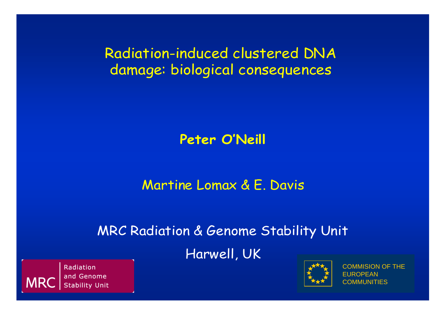Radiation-induced clustered DNA damage: biological consequences

#### **Peter O'Neill**

#### Martine Lomax & E. Davis

#### MRC Radiation & Genome Stability Unit

#### Harwell, UK



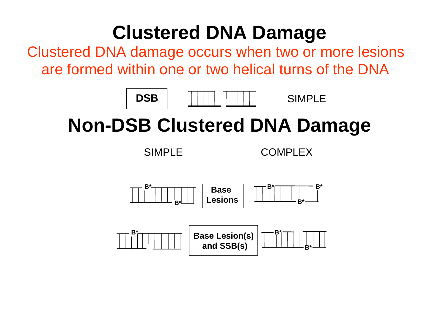# **Clustered DNA Damage**

Clustered DNA damage occurs when two or more lesions are formed within one or two helical turns of the DNA



SIMPLE

# **Non-DSB Clustered DNA Damage**

SIMPLE COMPLEX

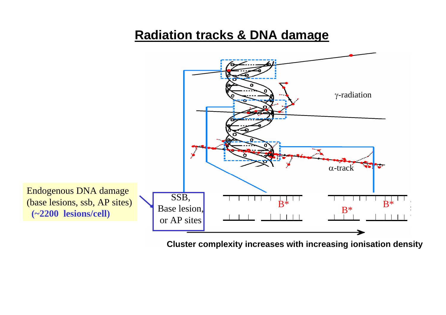#### **Radiation tracks & DNA damage**



**Cluster complexity increases with increasing ionisation density**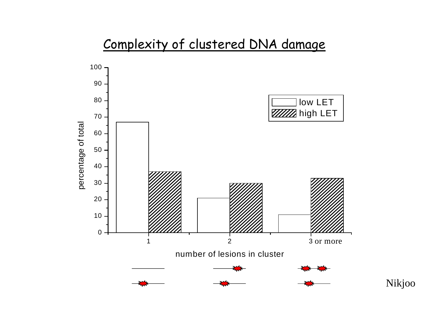#### Complexity of clustered DNA damage

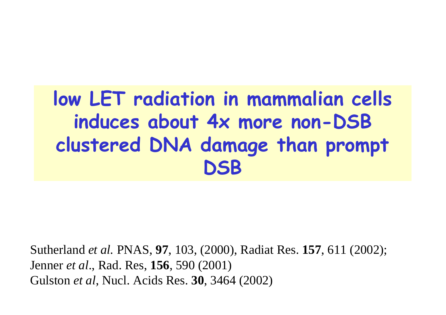# **low LET radiation in mammalian cells induces about 4x more non-DSB clustered DNA damage than prompt DSB**

Sutherland *et al.* PNAS, **97**, 103, (2000), Radiat Res. **157**, 611 (2002); Jenner *et al*., Rad. Res, **156**, 590 (2001) Gulston *et al*, Nucl. Acids Res. **30**, 3464 (2002)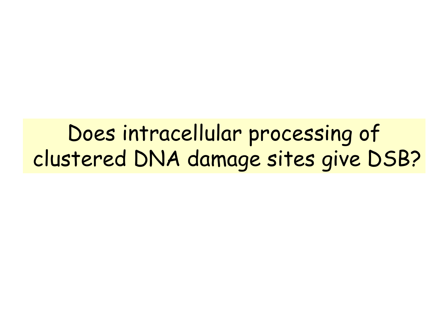Does intracellular processing of clustered DNA damage sites give DSB?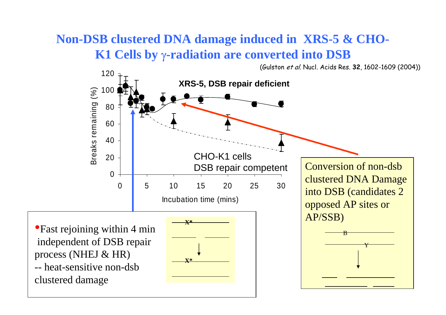#### **Non-DSB clustered DNA damage induced in XRS-5 & CHO-K1 Cells by**  γ**-radiation are converted into DSB**

(Gulston et al. Nucl. Acids Res. **32**, 1602-1609 (2004))

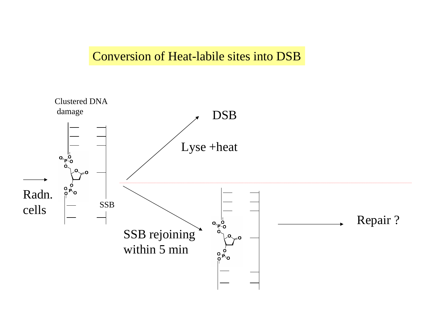#### Conversion of Heat-labile sites into DSB

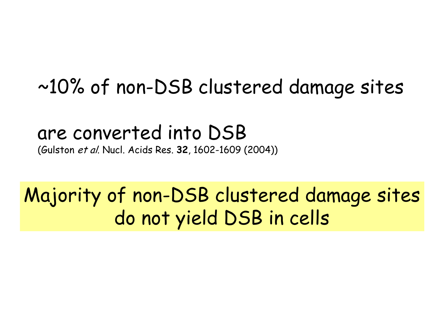## ~10% of non-DSB clustered damage sites

## are converted into DSB

(Gulston et al. Nucl. Acids Res. **32**, 1602-1609 (2004))

# Majority of non-DSB clustered damage sites do not yield DSB in cells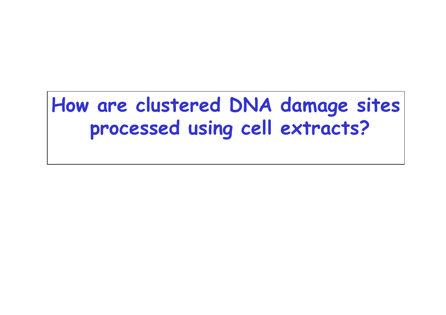# **How are clustered DNA damage sites processed using cell extracts?**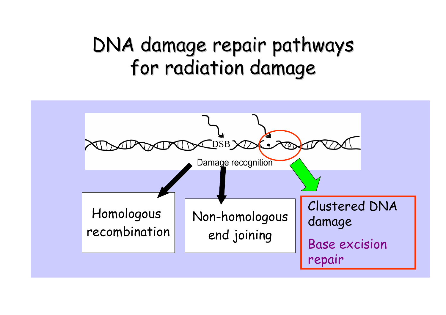# DNA damage repair pathways for radiation damage

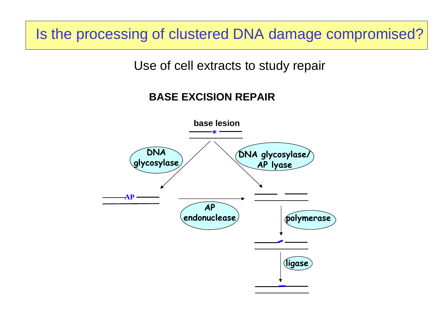Is the processing of clustered DNA damage compromised?

Use of cell extracts to study repair

#### **BASE EXCISION REPAIR**

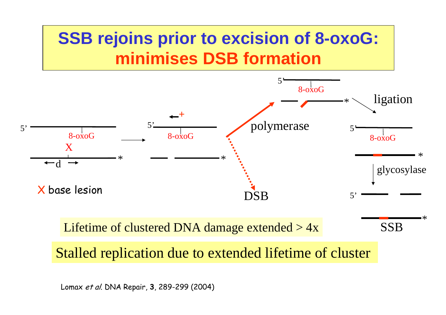

Lomax et al. DNA Repair, **3**, 289-299 (2004)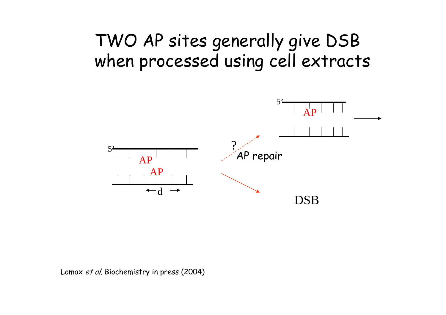### TWO AP sites generally give DSB when processed using cell extracts



Lomax et al. Biochemistry in press (2004)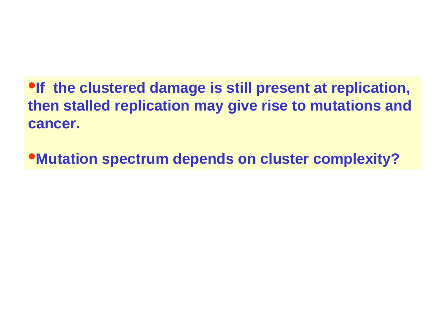**•If the clustered damage is still present at replication, then stalled replication may give rise to mutations and cancer.**

•**Mutation spectrum depends on cluster complexity?**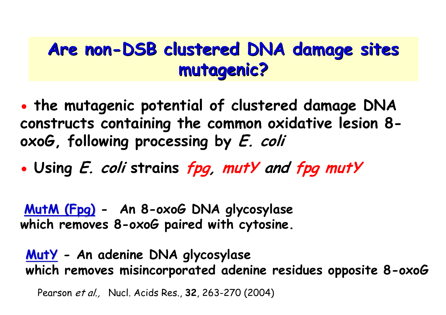### Are non-DSB clustered DNA damage sites **mutagenic? mutagenic?**

- O **the mutagenic potential of clustered damage DNA constructs containing the common oxidative lesion 8 oxoG, following processing by E. coli**
- O **Using E. coli strains fpg, mutY and fpg mutY**

**MutM (Fpg) - An 8-oxoG DNA glycosylase which removes 8-oxoG paired with cytosine.**

**MutY - An adenine DNA glycosylase which removes misincorporated adenine residues opposite 8-oxoG**

Pearson et al., Nucl. Acids Res., **32**, 263-270 (2004)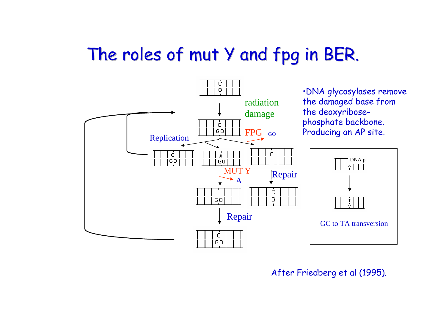### The roles of mut Y and fpg in BER.



After Friedberg et al (1995).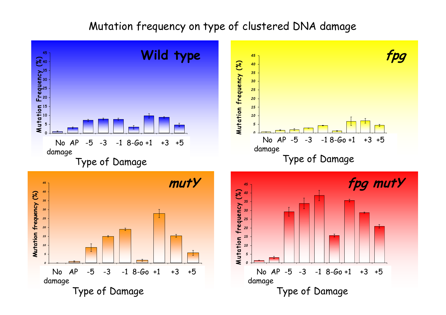#### Mutation frequency on type of clustered DNA damage

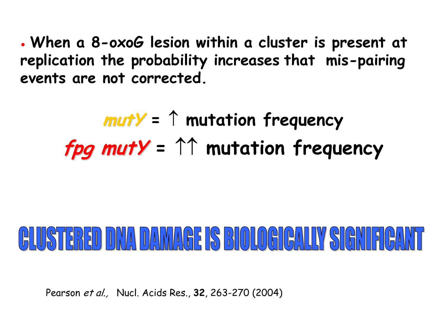o **When a 8-oxoG lesion within a cluster is present at replication the probability increases that mis-pairing events are not corrected.** 

$$
muty = \uparrow mutation frequency
$$
  
 *fig muty* = \uparrow\uparrow mutation frequency

# 

Pearson et al., Nucl. Acids Res., **32**, 263-270 (2004)